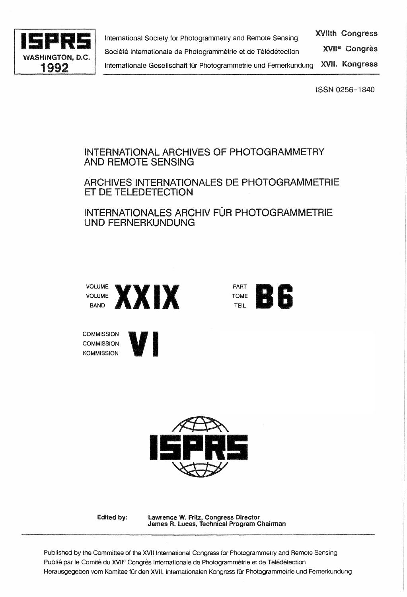

ISSN 0256-1840

# INTERNATIONAL ARCHIVES OF PHOTOGRAMMETRY AND REMOTE SENSING

# ARCHIVES INTERNATIONALES DE PHOTOGRAMMETRIE ET DE TELEDETECTION

# INTERNATIONALES ARCHIV FÜR PHOTOGRAMMETRIE UNO FERNERKUNDUNG

TOME

TOME **BB** 



**COMMISSION COMMISSION KOMMISSION** 





Edited by:

lawrence W. Fritz, Congress Director James R. lucas, Technical Program Chairman

Published by the Committee of the XVII International Congress tor Photogrammetry and Remote Sensing Publié par le Comité du XVII<sup>e</sup> Congrès Internationale de Photogrammétrie et de Télédétection Herausgegeben vom Komitee für den XVII. Internationalen Kongress für Photogrammetrie und Fernerkundung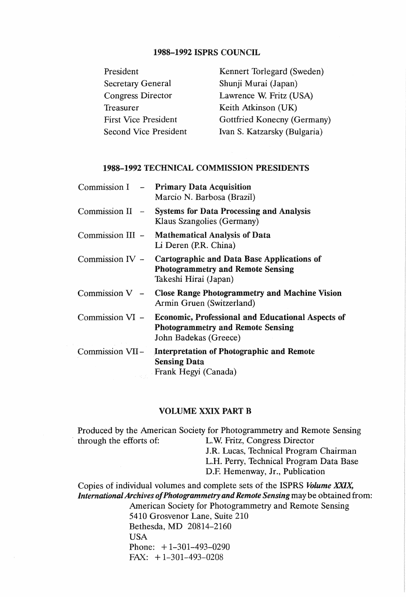## 1988-1992 ISPRS COUNCIL

| President                    | Kennert Torlegard (Sweden)   |
|------------------------------|------------------------------|
| <b>Secretary General</b>     | Shunji Murai (Japan)         |
| <b>Congress Director</b>     | Lawrence W. Fritz (USA)      |
| Treasurer                    | Keith Atkinson (UK)          |
| <b>First Vice President</b>  | Gottfried Konecny (Germany)  |
| <b>Second Vice President</b> | Ivan S. Katzarsky (Bulgaria) |

#### 1988-1992 TECHNICAL COMMISSION PRESIDENTS

|                    | Commission I - Primary Data Acquisition<br>Marcio N. Barbosa (Brazil)                                                                  |
|--------------------|----------------------------------------------------------------------------------------------------------------------------------------|
| Commission $II$ –  | <b>Systems for Data Processing and Analysis</b><br>Klaus Szangolies (Germany)                                                          |
| Commission $III -$ | <b>Mathematical Analysis of Data</b><br>Li Deren (P.R. China)                                                                          |
|                    | Commission $IV -$ Cartographic and Data Base Applications of<br><b>Photogrammetry and Remote Sensing</b><br>Takeshi Hirai (Japan)      |
|                    | Commission $V -$ Close Range Photogrammetry and Machine Vision<br>Armin Gruen (Switzerland)                                            |
|                    | Commission VI - Economic, Professional and Educational Aspects of<br><b>Photogrammetry and Remote Sensing</b><br>John Badekas (Greece) |
|                    | Commission VII - Interpretation of Photographic and Remote<br><b>Sensing Data</b><br>Frank Hegyi (Canada)                              |

## VOLUME XXIX PART B

Produced by the American Society for Photogrammetry and Remote Sensing · through the efforts of: L. W. Fritz, Congress Director

J.R. Lucas, Technical Program Chairman

L.H. Perry, Technical Program Data Base D.F. Hemenway, Jr., Publication

Copies of individual volumes and complete sets of the ISPRS *Volume XXIX, International Archives of Photogrammetry and Remote Sensing* may be obtained from: American Society for Photogrammetry and Remote Sensing

5410 Grosvenor Lane, Suite 210 Bethesda, MD 20814-2160 USA Phone: + 1-301-493-0290 FAX: + 1-301-493-0208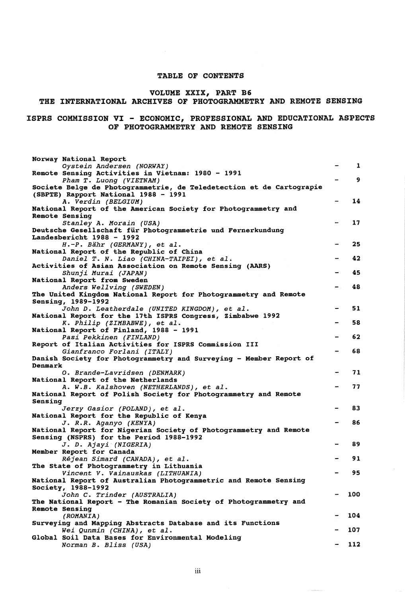#### TABLE OF CONTENTS

## VOLUME XXIX, PART B6 THE INTERNATIONAL ARCHIVES OF PHOTOGRAMMETRY AND REMOTE SENSING

#### ISPRS COMMISSION VI - ECONOMIC, PROFESSIONAL AND EDUCATIONAL ASPECTS OF PHOTOGRAMMETRY AND REMOTE SENSING

| Norway National Report                                                                                     |              |
|------------------------------------------------------------------------------------------------------------|--------------|
| Oystein Andersen (NORWAY)<br>Remote Sensing Activities in Vietnam: 1980 - 1991                             | $\mathbf{1}$ |
| Pham T. Luong (VIETNAM)                                                                                    | 9            |
| Societe Belge de Photogrammetrie, de Teledetection et de Cartograpie                                       |              |
| (SBPTE) Rapport National 1988 - 1991                                                                       |              |
| A. Verdin (BELGIUM)                                                                                        | 14           |
| National Report of the American Society for Photogrammetry and<br>Remote Sensing                           |              |
| Stanley A. Morain (USA)                                                                                    | 17           |
| Deutsche Gesellschaft für Photogrammetrie und Fernerkundung                                                |              |
| Landesbericht 1988 - 1992                                                                                  |              |
| H.-P. Bähr (GERMANY), et al.                                                                               | 25           |
| National Report of the Republic of China                                                                   |              |
| Daniel T. N. Liao (CHINA-TAIPEI), et al.                                                                   | 42           |
| Activities of Asian Association on Remote Sensing (AARS)<br>Shunji Murai (JAPAN)                           | 45           |
| National Report from Sweden                                                                                |              |
| Anders Wellving (SWEDEN)                                                                                   | 48           |
| The United Kingdom National Report for Photogrammetry and Remote                                           |              |
| Sensing, 1989-1992                                                                                         |              |
| John D. Leatherdale (UNITED KINGDOM), et al.                                                               | 51           |
| National Report for the 17th ISPRS Congress, Zimbabwe 1992                                                 |              |
| K. Philip (ZIMBABWE), et al.<br>National Report of Finland, 1988 - 1991                                    | 58           |
| Pasi Pekkinen (FINLAND)                                                                                    | 62           |
| Report of Italian Activities for ISPRS Commission III                                                      |              |
| Gianfranco Forlani (ITALY)                                                                                 | 68           |
| Danish Society for Photogrammetry and Surveying - Member Report of                                         |              |
| Denmark                                                                                                    |              |
| O. Brande-Lavridsen (DENMARK)                                                                              | 71           |
| National Report of the Netherlands                                                                         | 77           |
| A. W.B. Kalshoven (NETHERLANDS), et al.<br>National Report of Polish Society for Photogrammetry and Remote |              |
| Sensing                                                                                                    |              |
| Jerzy Gasior (POLAND), et al.                                                                              | 83           |
| National Report for the Republic of Kenya                                                                  |              |
| J. R.R. Aganyo (KENYA)                                                                                     | 86           |
| National Report for Nigerian Society of Photogrammetry and Remote                                          |              |
| Sensing (NSPRS) for the Period 1988-1992                                                                   | 89           |
| J. D. Ajayi (NIGERIA)<br>Member Report for Canada                                                          |              |
| Réjean Simard (CANADA), et al.                                                                             | 91           |
| The State of Photogrammetry in Lithuania                                                                   |              |
| Vincent V. Vainauskas (LITHUANIA)                                                                          | 95.          |
| National Report of Australian Photogrammetric and Remote Sensing                                           |              |
| Society, 1988-1992                                                                                         |              |
| John C. Trinder (AUSTRALIA)                                                                                | 100          |
| The National Report - The Romanian Society of Photogrammetry and<br>Remote Sensing                         |              |
| (ROMANIA)                                                                                                  | 104          |
| Surveying and Mapping Abstracts Database and its Functions                                                 |              |
| Wei Qunmin (CHINA), et al.                                                                                 | 107          |
| Global Soil Data Bases for Environmental Modeling                                                          |              |
| Norman B. Bliss (USA)                                                                                      | 112          |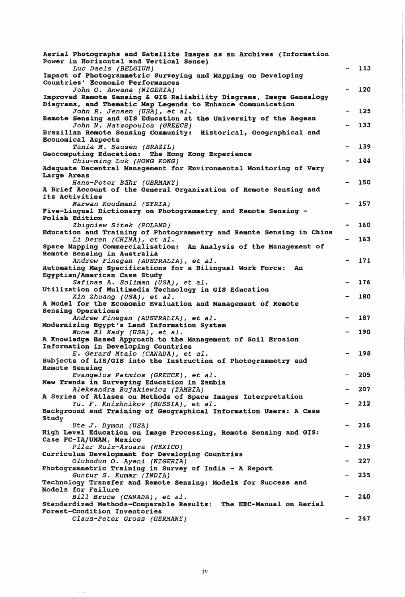| Aerial Photographs and Satellite Images as an Archives (Information<br>Power in Horizontal and Vertical Sense)<br>Luc Daels (BELGIUM)                          | 113 |
|----------------------------------------------------------------------------------------------------------------------------------------------------------------|-----|
| Impact of Photogrammetric Surveying and Mapping on Developing<br>Countries' Economic Performances                                                              |     |
| John O. Anwana (NIGERIA)<br>Improved Remote Sensing & GIS Reliability Diagrams, Image Genealogy<br>Diagrams, and Thematic Map Legends to Enhance Communication | 120 |
| John R. Jensen (USA), et al.<br>Remote Sensing and GIS Education at the University of the Aegean                                                               | 125 |
| John N. Hatzopoulos (GREECE)<br>Brazilian Remote Sensing Community: Historical, Geographical and                                                               | 133 |
| <b>Economical Aspects</b><br>Tania M. Sausen (BRAZIL)                                                                                                          | 139 |
| Geocomputing Education: The Hong Kong Experience<br>Chiu-ming Luk (HONG KONG)                                                                                  | 144 |
| Adequate Decentral Management for Environmental Monitoring of Very<br>Large Areas                                                                              |     |
| Hans-Peter Bähr (GERMANY)<br>A Brief Account of the General Organization of Remote Sensing and<br>Its Activities                                               | 150 |
| Marwan Koudmani (SYRIA)                                                                                                                                        | 157 |
| Five-Lingual Dictionary on Photogrammetry and Remote Sensing -<br>Polish Edition                                                                               |     |
| Zbigniew Sitek (POLAND)<br>Education and Training of Photogrammetry and Remote Sensing in China                                                                | 160 |
| Li Deren (CHINA), et al.<br>Space Mapping Commercialisation: An Analysis of the Management of<br>Remote Sensing in Australia                                   | 163 |
| Andrew Finegan (AUSTRALIA), et al.<br>Automating Map Specifications for a Bilingual Work Force:<br>An                                                          | 171 |
| Egyptian/American Case Study<br>Safinas A. Soliman (USA), et al.                                                                                               | 176 |
| Utilization of Multimedia Technology in GIS Education<br>Xin Zhuang (USA), et al.                                                                              | 180 |
| A Model for the Economic Evaluation and Management of Remote<br><b>Sensing Operations</b>                                                                      |     |
| Andrew Finegan (AUSTRALIA), et al.<br>Modernizing Egypt's Land Information System                                                                              | 187 |
| Mona El Kady (USA), et al.                                                                                                                                     | 190 |
| A Knowledge Based Approach to the Management of Soil Erosion<br>Information in Developing Countries                                                            |     |
| E. Gerard Mtalo (CANADA), et al.<br>Subjects of LIS/GIS into the Instruction of Photogrammetry and                                                             | 198 |
| <b>Remote Sensing</b><br>Evangelos Patmios (GREECE), et al.                                                                                                    | 205 |
| New Trends in Surveying Education in Zambia<br>Aleksandra Bujakiewicz (ZAMBIA)                                                                                 | 207 |
| A Series of Atlases on Methods of Space Images Interpretation                                                                                                  |     |
| Yu. F. Knizhnikov (RUSSIA), et al.<br>Background and Training of Geographical Information Users: A Case<br>Study                                               | 212 |
| Ute J. Dymon (USA)<br>High Level Education on Image Processing, Remote Sensing and GIS:                                                                        | 216 |
| Case FC-IA/UNAM, Mexico                                                                                                                                        | 219 |
| Pilar Ruiz-Azuara (MEXICO)<br>Curriculum Development for Developing Countries                                                                                  |     |
| Olubodun O. Ayeni (NIGERIA)<br>Photogrammetric Training in Survey of India - A Report                                                                          | 227 |
| Guntur S. Kumar (INDIA)<br>Technology Transfer and Remote Sensing: Models for Success and                                                                      | 235 |
| Models for Failure<br>Bill Bruce (CANADA), et al.                                                                                                              | 240 |
| Standardized Methods-Comparable Results: The EEC-Manual on Aerial                                                                                              |     |
| Forest-Condition Inventories<br>Claus-Peter Gross (GERMANY)                                                                                                    | 247 |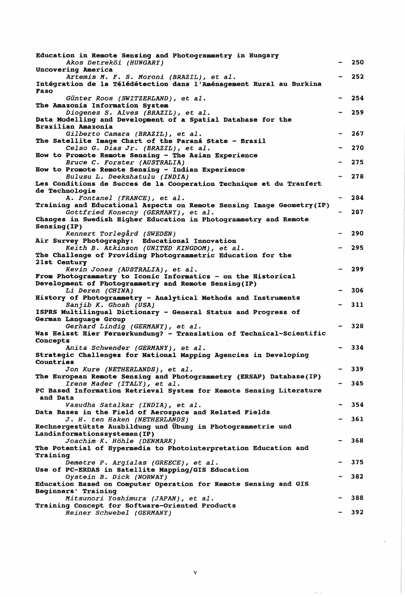| Education in Remote Sensing and Photogrammetry in Hungary<br>Akos Detreköi (HUNGARY)                            | 250 |
|-----------------------------------------------------------------------------------------------------------------|-----|
| Uncovering America                                                                                              |     |
| Artemis M. F. S. Moroni (BRAZIL), et al.<br>Intégration de la Télédétection dans l'Aménagement Rural au Burkina | 252 |
| Faso<br>Günter Roos (SWITZERLAND), et al.                                                                       | 254 |
| The Amazonia Information System                                                                                 |     |
| Diogenes S. Alves (BRAZIL), et al.<br>Data Modelling and Development of a Spatial Database for the              | 259 |
| Brazilian Amazonia                                                                                              |     |
| Gilberto Camara (BRAZIL), et al.                                                                                | 267 |
| The Satellite Image Chart of the Paraná State - Brazil                                                          |     |
| Celso G. Dias Jr. (BRAZIL), et al.                                                                              | 270 |
| How to Promote Remote Sensing - The Asian Experience                                                            |     |
| Bruce C. Forster (AUSTRALIA)<br>How to Promote Remote Sensing - Indian Experience                               | 275 |
| Bulusu L. Deekshatulu (INDIA)                                                                                   | 278 |
| Les Conditions de Succes de la Cooperation Technique et du Tranfert                                             |     |
| de Technologie                                                                                                  |     |
| A. Fontanel (FRANCE), et al.                                                                                    | 284 |
| Training and Educational Aspects on Remote Sensing Image Geometry(IP)                                           |     |
| Gottfried Konecny (GERMANY), et al.                                                                             | 287 |
| Changes in Swedish Higher Education in Photogrammetry and Remote                                                |     |
| Sensing/IP)                                                                                                     | 290 |
| Kennert Torlegård (SWEDEN)<br>Air Survey Photography: Educational Innovation                                    |     |
| Keith B. Atkinson (UNITED KINGDOM), et al.                                                                      | 295 |
| The Challenge of Providing Photogrammetric Education for the                                                    |     |
| 21st Century                                                                                                    |     |
| Kevin Jones (AUSTRALIA), et al.                                                                                 | 299 |
| From Photogrammetry to Iconic Informatics - on the Historical                                                   |     |
| Development of Photogrammetry and Remote Sensing(IP)                                                            |     |
| Li Deren (CHINA)                                                                                                | 306 |
| History of Photogrammetry - Analytical Methods and Instruments                                                  | 311 |
| Sanjib K. Ghosh (USA)<br>ISPRS Multilingual Dictionary - General Status and Progress of                         |     |
| German Language Group                                                                                           |     |
| Gerhard Lindig (GERMANY), et al.                                                                                | 328 |
| Was Heisst Hier Fernerkundung? - Translation of Technical-Scientific                                            |     |
| Concepts                                                                                                        |     |
| Anita Schwender (GERMANY), et al.                                                                               | 334 |
| Strategic Challenges for National Mapping Agencies in Developing                                                |     |
| Countries                                                                                                       |     |
| Jon Kure (NETHERLANDS), et al.<br>The European Remote Sensing and Photogrammetry (ERSAP) Database(IP)           | 339 |
| Irene Mader (ITALY), et al.                                                                                     | 345 |
| PC Based Information Retrieval System for Remote Sensing Literature                                             |     |
| and Data                                                                                                        |     |
| Vasudha Satalkar (INDIA), et al.                                                                                | 354 |
| Data Bases in the Field of Aerospace and Related Fields                                                         |     |
| J. H. ten Haken (NETHERLANDS)                                                                                   | 361 |
| Rechnergestützte Ausbildung und Übung in Photogrammetrie und                                                    |     |
| Landinformationssystemen(IP)<br>Joachim K. Höhle (DENMARK)                                                      | 368 |
| The Potential of Hypermedia to Photointerpretation Education and                                                |     |
| Training                                                                                                        |     |
| Demetre P. Argialas (GREECE), et al.                                                                            | 375 |
| Use of PC-ERDAS in Satellite Mapping/GIS Education                                                              |     |
| Oystein B. Dick (NORWAY)                                                                                        | 382 |
| Education Based on Computer Operation for Remote Sensing and GIS                                                |     |
| <b>Beginners' Training</b>                                                                                      |     |
| Mitsunori Yoshimura (JAPAN), et al.<br>Training Concept for Software-Oriented Products                          | 388 |
| Reiner Schwebel (GERMANY)                                                                                       | 392 |
|                                                                                                                 |     |

v